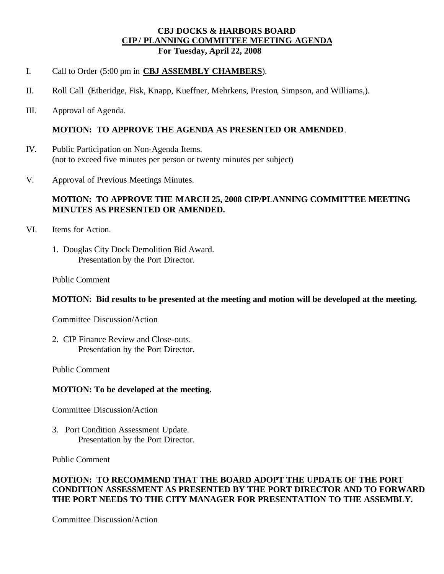## **CBJ DOCKS & HARBORS BOARD CIP / PLANNING COMMITTEE MEETING AGENDA For Tuesday, April 22, 2008**

### I. Call to Order (5:00 pm in **CBJ ASSEMBLY CHAMBERS**).

- II. Roll Call (Etheridge, Fisk, Knapp, Kueffner, Mehrkens, Preston, Simpson, and Williams,).
- III. Approval of Agenda.

### **MOTION: TO APPROVE THE AGENDA AS PRESENTED OR AMENDED**.

- IV. Public Participation on Non-Agenda Items. (not to exceed five minutes per person or twenty minutes per subject)
- V. Approval of Previous Meetings Minutes.

# **MOTION: TO APPROVE THE MARCH 25, 2008 CIP/PLANNING COMMITTEE MEETING MINUTES AS PRESENTED OR AMENDED.**

- VI. Items for Action.
	- 1. Douglas City Dock Demolition Bid Award. Presentation by the Port Director.

Public Comment

#### **MOTION: Bid results to be presented at the meeting and motion will be developed at the meeting.**

Committee Discussion/Action

2. CIP Finance Review and Close-outs. Presentation by the Port Director.

Public Comment

#### **MOTION: To be developed at the meeting.**

Committee Discussion/Action

3. Port Condition Assessment Update. Presentation by the Port Director.

Public Comment

# **MOTION: TO RECOMMEND THAT THE BOARD ADOPT THE UPDATE OF THE PORT CONDITION ASSESSMENT AS PRESENTED BY THE PORT DIRECTOR AND TO FORWARD THE PORT NEEDS TO THE CITY MANAGER FOR PRESENTATION TO THE ASSEMBLY.**

Committee Discussion/Action